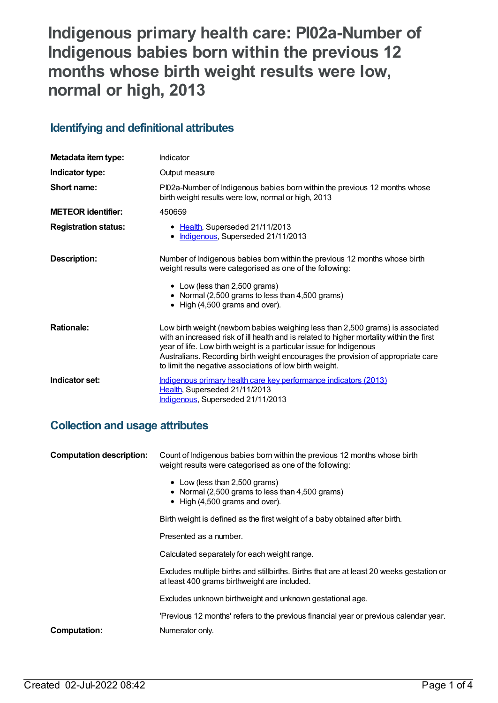# **Indigenous primary health care: PI02a-Number of Indigenous babies born within the previous 12 months whose birth weight results were low, normal or high, 2013**

# **Identifying and definitional attributes**

| Metadata item type:         | Indicator                                                                                                                                                                                                                                                                                                                                                                                        |
|-----------------------------|--------------------------------------------------------------------------------------------------------------------------------------------------------------------------------------------------------------------------------------------------------------------------------------------------------------------------------------------------------------------------------------------------|
| Indicator type:             | Output measure                                                                                                                                                                                                                                                                                                                                                                                   |
| Short name:                 | PI02a-Number of Indigenous babies born within the previous 12 months whose<br>birth weight results were low, normal or high, 2013                                                                                                                                                                                                                                                                |
| <b>METEOR identifier:</b>   | 450659                                                                                                                                                                                                                                                                                                                                                                                           |
| <b>Registration status:</b> | • Health, Superseded 21/11/2013<br>Indigenous, Superseded 21/11/2013<br>٠                                                                                                                                                                                                                                                                                                                        |
| Description:                | Number of Indigenous babies born within the previous 12 months whose birth<br>weight results were categorised as one of the following:<br>• Low (less than 2,500 grams)<br>• Normal (2,500 grams to less than 4,500 grams)<br>• High (4,500 grams and over).                                                                                                                                     |
| <b>Rationale:</b>           | Low birth weight (newborn babies weighing less than 2,500 grams) is associated<br>with an increased risk of ill health and is related to higher mortality within the first<br>year of life. Low birth weight is a particular issue for Indigenous<br>Australians. Recording birth weight encourages the provision of appropriate care<br>to limit the negative associations of low birth weight. |
| Indicator set:              | Indigenous primary health care key performance indicators (2013)<br>Health, Superseded 21/11/2013<br>Indigenous, Superseded 21/11/2013                                                                                                                                                                                                                                                           |

# **Collection and usage attributes**

| <b>Computation description:</b> | Count of Indigenous babies born within the previous 12 months whose birth<br>weight results were categorised as one of the following:    |  |
|---------------------------------|------------------------------------------------------------------------------------------------------------------------------------------|--|
|                                 | • Low (less than 2,500 grams)<br>• Normal (2,500 grams to less than 4,500 grams)<br>$\bullet$ High (4,500 grams and over).               |  |
|                                 | Birth weight is defined as the first weight of a baby obtained after birth.                                                              |  |
|                                 | Presented as a number.                                                                                                                   |  |
|                                 | Calculated separately for each weight range.                                                                                             |  |
|                                 | Excludes multiple births and stillbirths. Births that are at least 20 weeks gestation or<br>at least 400 grams birthweight are included. |  |
|                                 | Excludes unknown birthweight and unknown gestational age.                                                                                |  |
|                                 | 'Previous 12 months' refers to the previous financial year or previous calendar year.                                                    |  |
| Computation:                    | Numerator only.                                                                                                                          |  |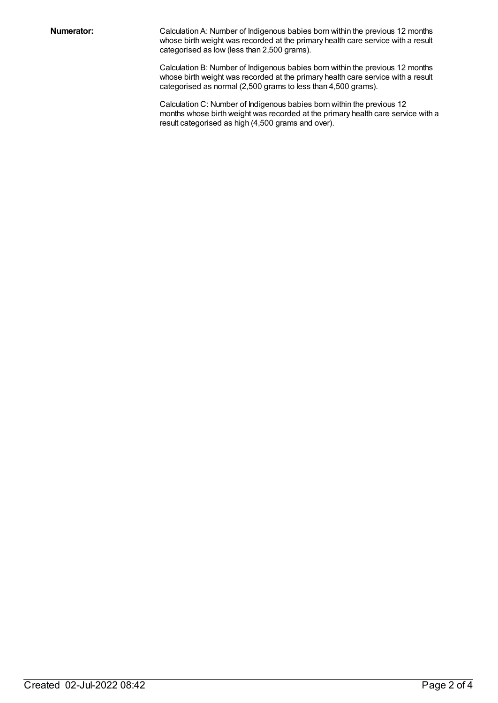**Numerator:** Calculation A: Number of Indigenous babies born within the previous 12 months whose birth weight was recorded at the primary health care service with a result categorised as low (less than 2,500 grams).

> Calculation B: Number of Indigenous babies born within the previous 12 months whose birth weight was recorded at the primary health care service with a result categorised as normal (2,500 grams to less than 4,500 grams).

Calculation C: Number of Indigenous babies born within the previous 12 months whose birth weight was recorded at the primary health care service with a result categorised as high (4,500 grams and over).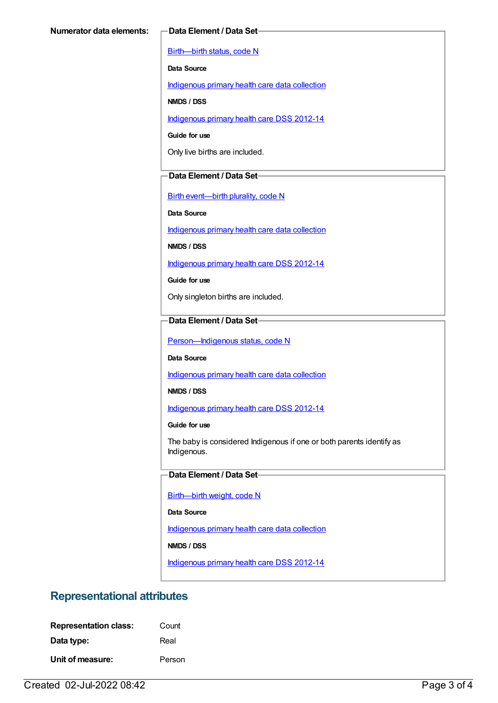[Birth—birth](https://meteor.aihw.gov.au/content/269949) status, code N

**Data Source**

[Indigenous](https://meteor.aihw.gov.au/content/430643) primary health care data collection

**NMDS / DSS**

[Indigenous](https://meteor.aihw.gov.au/content/430629) primary health care DSS 2012-14

**Guide for use**

Only live births are included.

#### **Data Element / Data Set**

Birth [event—birth](https://meteor.aihw.gov.au/content/269994) plurality, code N

**Data Source**

[Indigenous](https://meteor.aihw.gov.au/content/430643) primary health care data collection

**NMDS / DSS**

[Indigenous](https://meteor.aihw.gov.au/content/430629) primary health care DSS 2012-14

**Guide for use**

Only singleton births are included.

#### **Data Element / Data Set**

Person-Indigenous status, code N

**Data Source**

[Indigenous](https://meteor.aihw.gov.au/content/430643) primary health care data collection

**NMDS / DSS**

[Indigenous](https://meteor.aihw.gov.au/content/430629) primary health care DSS 2012-14

**Guide for use**

The baby is considered Indigenous if one or both parents identify as Indigenous.

#### **Data Element / Data Set**

[Birth—birth](https://meteor.aihw.gov.au/content/459938) weight, code N

**Data Source**

[Indigenous](https://meteor.aihw.gov.au/content/430643) primary health care data collection

**NMDS / DSS**

[Indigenous](https://meteor.aihw.gov.au/content/430629) primary health care DSS 2012-14

# **Representational attributes**

| <b>Representation class:</b> | Count  |
|------------------------------|--------|
| Data type:                   | Real   |
| Unit of measure:             | Person |